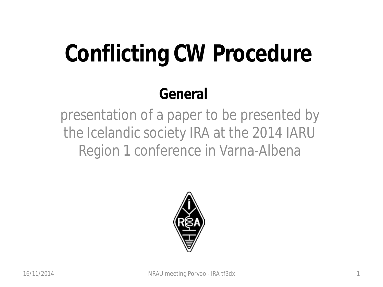# **Conflicting CW Procedure**

### **General**

presentation of a paper to be presented by the Icelandic society IRA at the 2014 IARU Region 1 conference in Varna-Albena

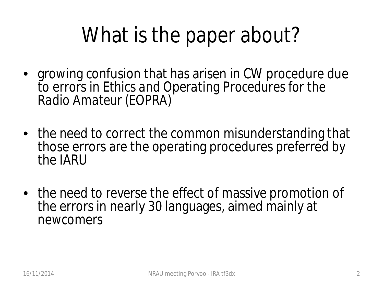### What is the paper about?

- growing confusion that has arisen in CW procedure due to errors in *Ethics and Operating Procedures for the Radio Amateur (EOPRA)*
- the need to correct the common misunderstanding that those errors are the operating procedures preferred by the IARU
- the need to reverse the effect of massive promotion of the errors in nearly 30 languages, aimed mainly at newcomers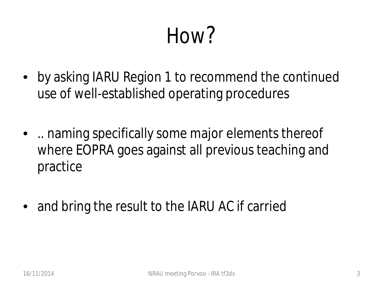### How?

- by asking IARU Region 1 to recommend the continued use of well-established operating procedures
- .. naming specifically some major elements thereof where EOPRA goes against all previous teaching and practice
- and bring the result to the IARU AC if carried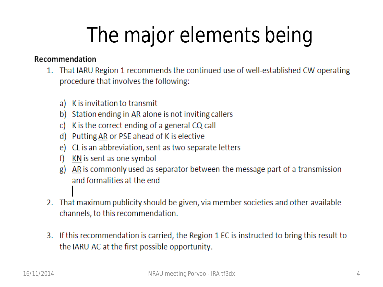## The major elements being

#### Recommendation

- 1. That IARU Region 1 recommends the continued use of well-established CW operating procedure that involves the following:
	- K is invitation to transmit a)
	- b) Station ending in AR alone is not inviting callers
	- K is the correct ending of a general CQ call <sub>c</sub>
	- $d)$ Putting AR or PSE ahead of K is elective
	- CL is an abbreviation, sent as two separate letters e)
	- KN is sent as one symbol  $f$
	- AR is commonly used as separator between the message part of a transmission g) and formalities at the end
- 2. That maximum publicity should be given, via member societies and other available channels, to this recommendation.
- 3. If this recommendation is carried, the Region 1 EC is instructed to bring this result to the IARU AC at the first possible opportunity.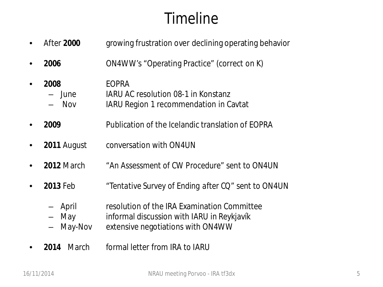### Timeline

- After **2000** growing frustration over declining operating behavior
- **2006** ON4WW's "Operating Practice" (correct on K)
- **2008** EOPRA – June IARU AC resolution 08-1 in Konstanz – Nov IARU Region 1 recommendation in Cavtat
- **2009** Publication of the Icelandic translation of EOPRA
- **2011 August** conversation with ON4UN
- **2012** March "*An Assessment of CW Procedure"* sent to ON4UN
- **2013** Feb "*Tentative Survey of Ending after CQ"* sent to ON4UN
	- April resolution of the IRA Examination Committee
	- May informal discussion with IARU in Reykjavík
	- May-Nov extensive negotiations with ON4WW
- **2014** March formal letter from IRA to IARU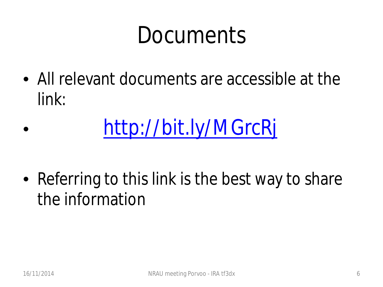### Documents

• All relevant documents are accessible at the link:

### • <http://bit.ly/MGrcRj>

• Referring to this link is the best way to share the information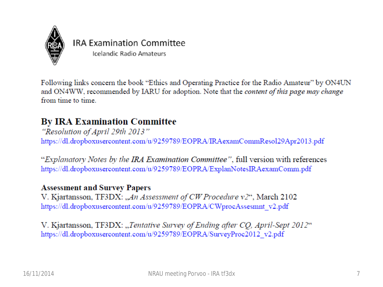

#### **IRA Examination Committee**

Icelandic Radio Amateurs

Following links concern the book "Ethics and Operating Practice for the Radio Amateur" by ON4UN and ON4WW, recommended by IARU for adoption. Note that the *content of this page may change* from time to time.

#### **By IRA Examination Committee**

"Resolution of April 29th 2013" https://dl.dropboxusercontent.com/u/9259789/EOPRA/IRAexamCommResol29Apr2013.pdf

"Explanatory Notes by the IRA Examination Committee", full version with references https://dl.dropboxusercontent.com/u/9259789/EOPRA/ExplanNotesIRAexamComm.pdf

#### **Assessment and Survey Papers**

V. Kjartansson, TF3DX: "An Assessment of CW Procedure v2", March 2102 https://dl.dropboxusercontent.com/u/9259789/EOPRA/CWprocAssesmnt v2.pdf

V. Kjartansson, TF3DX: "Tentative Survey of Ending after CO, April-Sept 2012" https://dl.dropboxusercontent.com/u/9259789/EOPRA/SurveyProc2012 v2.pdf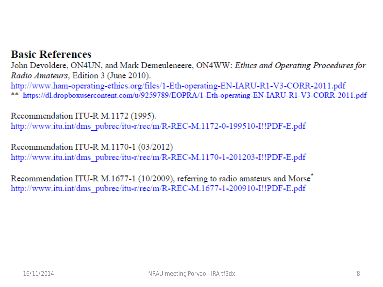#### **Basic References**

John Devoldere, ON4UN, and Mark Demeuleneere, ON4WW: Ethics and Operating Procedures for Radio Amateurs, Edition 3 (June 2010). http://www.ham-operating-ethics.org/files/1-Eth-operating-EN-IARU-R1-V3-CORR-2011.pdf \*\* https://dl.dropboxusercontent.com/u/9259789/EOPRA/1-Eth-operating-EN-IARU-R1-V3-CORR-2011.pdf

Recommendation ITU-R M.1172 (1995). http://www.itu.int/dms pubrec/itu-r/rec/m/R-REC-M.1172-0-199510-I!!PDF-E.pdf

Recommendation ITU-R M.1170-1 (03/2012) http://www.itu.int/dms pubrec/itu-r/rec/m/R-REC-M.1170-1-201203-I!!PDF-E.pdf

Recommendation ITU-R M.1677-1 (10/2009), referring to radio amateurs and Morse<sup>®</sup> http://www.itu.int/dms\_pubrec/itu-r/rec/m/R-REC-M.1677-1-200910-I!!PDF-E.pdf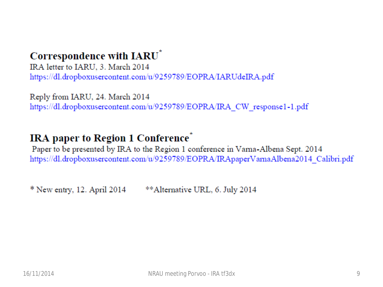#### Correspondence with IARU<sup>\*</sup>

IRA letter to IARU, 3. March 2014 https://dl.dropboxusercontent.com/u/9259789/EOPRA/IARUdeIRA.pdf

Reply from IARU, 24. March 2014 https://dl.dropboxusercontent.com/u/9259789/EOPRA/IRA CW response1-1.pdf

#### **IRA** paper to Region 1 Conference<sup>®</sup>

Paper to be presented by IRA to the Region 1 conference in Varna-Albena Sept. 2014 https://dl.dropboxusercontent.com/u/9259789/EOPRA/IRApaperVarnaAlbena2014\_Calibri.pdf

 $*$  New entry, 12. April 2014 \*\*Alternative URL, 6. July 2014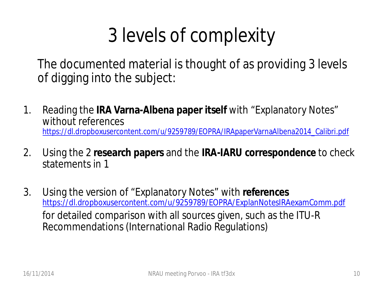### 3 levels of complexity

The documented material is thought of as providing 3 levels of digging into the subject:

- 1. Reading the **IRA Varna-Albena paper itself** with "Explanatory Notes" *without* references [https://dl.dropboxusercontent.com/u/9259789/EOPRA/IRApaperVarnaAlbena2014\\_Calibri.pdf](https://dl.dropboxusercontent.com/u/9259789/EOPRA/IRApaperVarnaAlbena2014_Calibri.pdf)
- 2. Using the 2 **research papers** and the **IRA-IARU correspondence** to check statements in 1
- 3. Using the version of "Explanatory Notes" *with* **references**  <https://dl.dropboxusercontent.com/u/9259789/EOPRA/ExplanNotesIRAexamComm.pdf> for detailed comparison with all sources given, such as the ITU-R Recommendations (International Radio Regulations)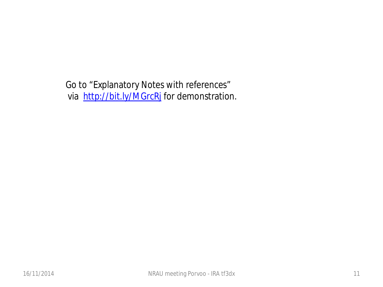Go to "Explanatory Notes with references" via <http://bit.ly/MGrcRj> for demonstration.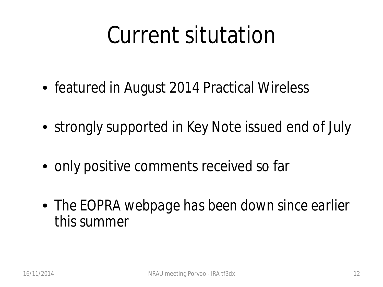## Current situtation

- featured in August 2014 Practical Wireless
- strongly supported in Key Note issued end of July
- only positive comments received so far
- *The EOPRA webpage has been down since earlier this summer*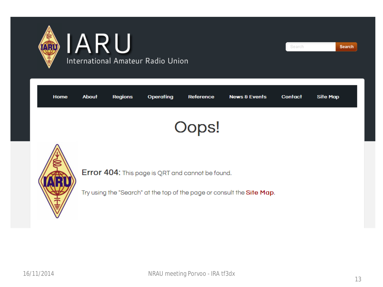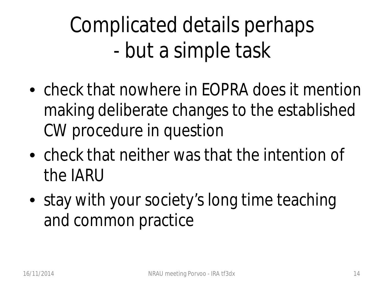Complicated details perhaps - but a simple task

- check that nowhere in FOPRA does it mention making deliberate changes to the established CW procedure in question
- check that neither was that the intention of the IARU
- stay with your society's long time teaching and common practice